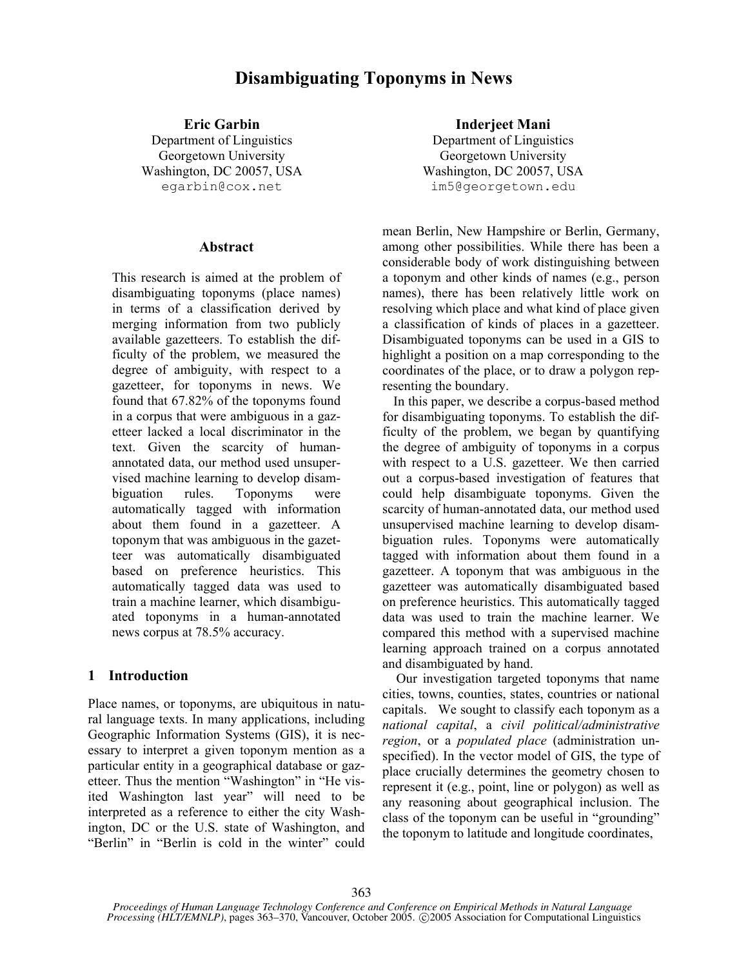# **Disambiguating Toponyms in News**

#### **Abstract**

This research is aimed at the problem of disambiguating toponyms (place names) in terms of a classification derived by merging information from two publicly available gazetteers. To establish the difficulty of the problem, we measured the degree of ambiguity, with respect to a gazetteer, for toponyms in news. We found that 67.82% of the toponyms found in a corpus that were ambiguous in a gazetteer lacked a local discriminator in the text. Given the scarcity of humanannotated data, our method used unsupervised machine learning to develop disambiguation rules. Toponyms were automatically tagged with information about them found in a gazetteer. A toponym that was ambiguous in the gazetteer was automatically disambiguated based on preference heuristics. This automatically tagged data was used to train a machine learner, which disambiguated toponyms in a human-annotated news corpus at 78.5% accuracy.

# **1 Introduction**

Place names, or toponyms, are ubiquitous in natural language texts. In many applications, including Geographic Information Systems (GIS), it is necessary to interpret a given toponym mention as a particular entity in a geographical database or gazetteer. Thus the mention "Washington" in "He visited Washington last year" will need to be interpreted as a reference to either the city Washington, DC or the U.S. state of Washington, and "Berlin" in "Berlin is cold in the winter" could

**Eric Garbin Inderjeet Mani** Department of Linguistics Department of Linguistics Georgetown University Georgetown University Washington, DC 20057, USA Washington, DC 20057, USA egarbin@cox.net im5@georgetown.edu

> mean Berlin, New Hampshire or Berlin, Germany, among other possibilities. While there has been a considerable body of work distinguishing between a toponym and other kinds of names (e.g., person names), there has been relatively little work on resolving which place and what kind of place given a classification of kinds of places in a gazetteer. Disambiguated toponyms can be used in a GIS to highlight a position on a map corresponding to the coordinates of the place, or to draw a polygon representing the boundary.

> In this paper, we describe a corpus-based method for disambiguating toponyms. To establish the difficulty of the problem, we began by quantifying the degree of ambiguity of toponyms in a corpus with respect to a U.S. gazetteer. We then carried out a corpus-based investigation of features that could help disambiguate toponyms. Given the scarcity of human-annotated data, our method used unsupervised machine learning to develop disambiguation rules. Toponyms were automatically tagged with information about them found in a gazetteer. A toponym that was ambiguous in the gazetteer was automatically disambiguated based on preference heuristics. This automatically tagged data was used to train the machine learner. We compared this method with a supervised machine learning approach trained on a corpus annotated and disambiguated by hand.

> Our investigation targeted toponyms that name cities, towns, counties, states, countries or national capitals. We sought to classify each toponym as a *national capital*, a *civil political/administrative region*, or a *populated place* (administration unspecified). In the vector model of GIS, the type of place crucially determines the geometry chosen to represent it (e.g., point, line or polygon) as well as any reasoning about geographical inclusion. The class of the toponym can be useful in "grounding" the toponym to latitude and longitude coordinates,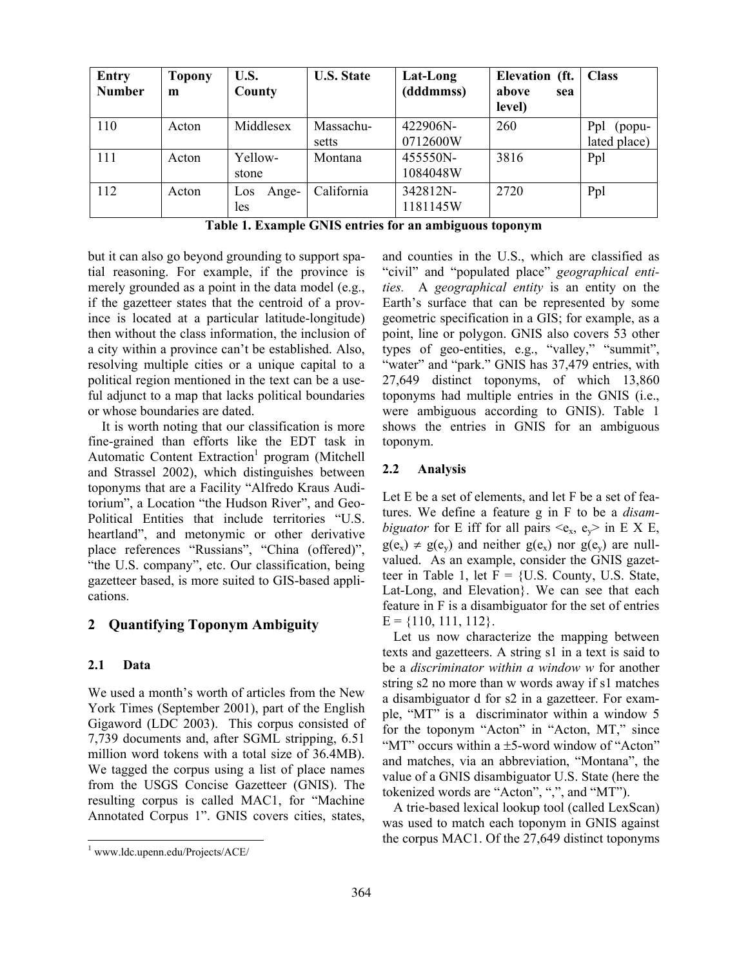| Entry<br><b>Number</b> | <b>Topony</b><br>m | U.S.<br>County      | <b>U.S. State</b>  | Lat-Long<br>(dddmmss) | Elevation (ft.<br>above<br>sea<br>level) | <b>Class</b>                    |
|------------------------|--------------------|---------------------|--------------------|-----------------------|------------------------------------------|---------------------------------|
| 110                    | Acton              | Middlesex           | Massachu-<br>setts | 422906N-<br>0712600W  | 260                                      | Ppl<br>$(popu-$<br>lated place) |
| 111                    | Acton              | Yellow-<br>stone    | Montana            | 455550N-<br>1084048W  | 3816                                     | Ppl                             |
| 112                    | Acton              | Ange-<br>Los<br>les | California         | 342812N-<br>1181145W  | 2720                                     | Ppl                             |

| Table 1. Example GNIS entries for an ambiguous toponym |  |  |  |  |  |
|--------------------------------------------------------|--|--|--|--|--|
|--------------------------------------------------------|--|--|--|--|--|

but it can also go beyond grounding to support spatial reasoning. For example, if the province is merely grounded as a point in the data model (e.g., if the gazetteer states that the centroid of a province is located at a particular latitude-longitude) then without the class information, the inclusion of a city within a province can't be established. Also, resolving multiple cities or a unique capital to a political region mentioned in the text can be a useful adjunct to a map that lacks political boundaries or whose boundaries are dated.

It is worth noting that our classification is more fine-grained than efforts like the EDT task in Automatic Content Extraction<sup>1</sup> program (Mitchell and Strassel 2002), which distinguishes between toponyms that are a Facility "Alfredo Kraus Auditorium", a Location "the Hudson River", and Geo-Political Entities that include territories "U.S. heartland", and metonymic or other derivative place references "Russians", "China (offered)", "the U.S. company", etc. Our classification, being gazetteer based, is more suited to GIS-based applications.

### **2 Quantifying Toponym Ambiguity**

#### **2.1 Data**

 $\overline{a}$ 

We used a month's worth of articles from the New York Times (September 2001), part of the English Gigaword (LDC 2003). This corpus consisted of 7,739 documents and, after SGML stripping, 6.51 million word tokens with a total size of 36.4MB). We tagged the corpus using a list of place names from the USGS Concise Gazetteer (GNIS). The resulting corpus is called MAC1, for "Machine Annotated Corpus 1". GNIS covers cities, states,

and counties in the U.S., which are classified as "civil" and "populated place" *geographical entities.* A *geographical entity* is an entity on the Earth's surface that can be represented by some geometric specification in a GIS; for example, as a point, line or polygon. GNIS also covers 53 other types of geo-entities, e.g., "valley," "summit", "water" and "park." GNIS has 37,479 entries, with 27,649 distinct toponyms, of which 13,860 toponyms had multiple entries in the GNIS (i.e., were ambiguous according to GNIS). Table 1 shows the entries in GNIS for an ambiguous toponym.

#### **2.2 Analysis**

Let E be a set of elements, and let F be a set of features. We define a feature g in F to be a *disambiguator* for E iff for all pairs  $\langle e_x, e_y \rangle$  in E X E,  $g(e_x) \neq g(e_y)$  and neither  $g(e_x)$  nor  $g(e_y)$  are nullvalued. As an example, consider the GNIS gazetteer in Table 1, let  $F = \{U.S.$  County, U.S. State, Lat-Long, and Elevation}. We can see that each feature in F is a disambiguator for the set of entries  $E = \{110, 111, 112\}.$ 

Let us now characterize the mapping between texts and gazetteers. A string s1 in a text is said to be a *discriminator within a window w* for another string s2 no more than w words away if s1 matches a disambiguator d for s2 in a gazetteer. For example, "MT" is a discriminator within a window 5 for the toponym "Acton" in "Acton, MT," since "MT" occurs within a  $\pm$ 5-word window of "Acton" and matches, via an abbreviation, "Montana", the value of a GNIS disambiguator U.S. State (here the tokenized words are "Acton", ",", and "MT").

A trie-based lexical lookup tool (called LexScan) was used to match each toponym in GNIS against the corpus MAC1. Of the 27,649 distinct toponyms

<sup>1</sup> www.ldc.upenn.edu/Projects/ACE/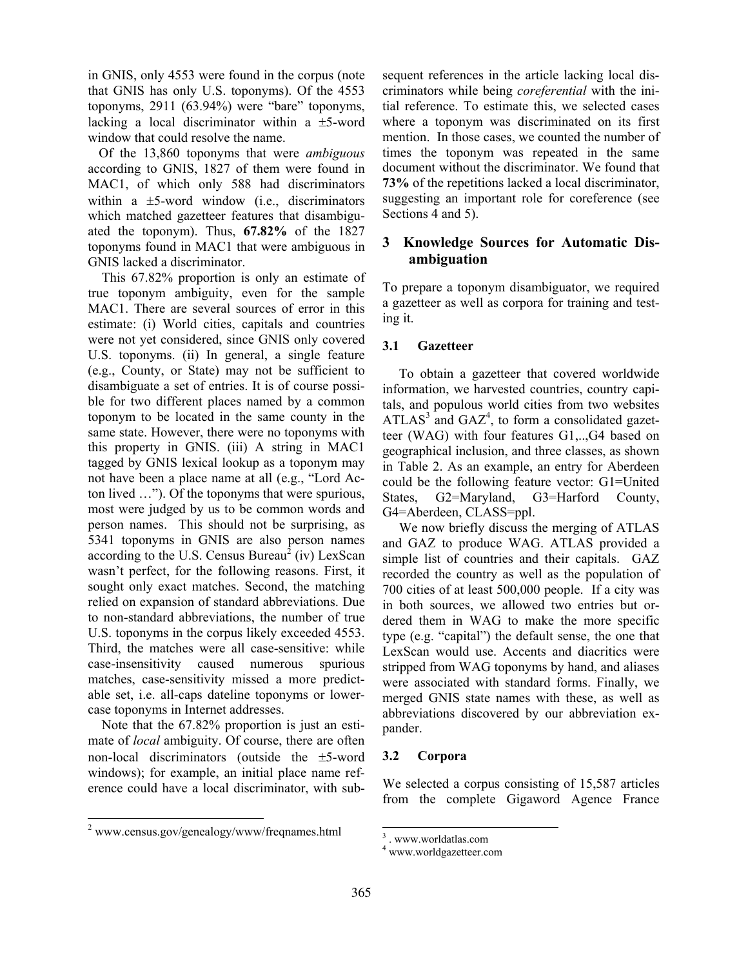in GNIS, only 4553 were found in the corpus (note that GNIS has only U.S. toponyms). Of the 4553 toponyms, 2911 (63.94%) were "bare" toponyms, lacking a local discriminator within a ±5-word window that could resolve the name.

Of the 13,860 toponyms that were *ambiguous*  according to GNIS, 1827 of them were found in MAC1, of which only 588 had discriminators within a  $\pm$ 5-word window (i.e., discriminators which matched gazetteer features that disambiguated the toponym). Thus, **67.82%** of the 1827 toponyms found in MAC1 that were ambiguous in GNIS lacked a discriminator.

This 67.82% proportion is only an estimate of true toponym ambiguity, even for the sample MAC1. There are several sources of error in this estimate: (i) World cities, capitals and countries were not yet considered, since GNIS only covered U.S. toponyms. (ii) In general, a single feature (e.g., County, or State) may not be sufficient to disambiguate a set of entries. It is of course possible for two different places named by a common toponym to be located in the same county in the same state. However, there were no toponyms with this property in GNIS. (iii) A string in MAC1 tagged by GNIS lexical lookup as a toponym may not have been a place name at all (e.g., "Lord Acton lived …"). Of the toponyms that were spurious, most were judged by us to be common words and person names. This should not be surprising, as 5341 toponyms in GNIS are also person names according to the U.S. Census Bureau<sup>2</sup> (iv) LexScan wasn't perfect, for the following reasons. First, it sought only exact matches. Second, the matching relied on expansion of standard abbreviations. Due to non-standard abbreviations, the number of true U.S. toponyms in the corpus likely exceeded 4553. Third, the matches were all case-sensitive: while case-insensitivity caused numerous spurious matches, case-sensitivity missed a more predictable set, i.e. all-caps dateline toponyms or lowercase toponyms in Internet addresses.

Note that the 67.82% proportion is just an estimate of *local* ambiguity. Of course, there are often non-local discriminators (outside the ±5-word windows); for example, an initial place name reference could have a local discriminator, with subsequent references in the article lacking local discriminators while being *coreferential* with the initial reference. To estimate this, we selected cases where a toponym was discriminated on its first mention. In those cases, we counted the number of times the toponym was repeated in the same document without the discriminator. We found that **73%** of the repetitions lacked a local discriminator, suggesting an important role for coreference (see Sections 4 and 5).

# **3 Knowledge Sources for Automatic Disambiguation**

To prepare a toponym disambiguator, we required a gazetteer as well as corpora for training and testing it.

### **3.1 Gazetteer**

To obtain a gazetteer that covered worldwide information, we harvested countries, country capitals, and populous world cities from two websites ATLAS<sup>3</sup> and GAZ<sup>4</sup>, to form a consolidated gazetteer (WAG) with four features G1,..,G4 based on geographical inclusion, and three classes, as shown in Table 2. As an example, an entry for Aberdeen could be the following feature vector: G1=United States, G2=Maryland, G3=Harford County, G4=Aberdeen, CLASS=ppl.

We now briefly discuss the merging of ATLAS and GAZ to produce WAG. ATLAS provided a simple list of countries and their capitals. GAZ recorded the country as well as the population of 700 cities of at least 500,000 people. If a city was in both sources, we allowed two entries but ordered them in WAG to make the more specific type (e.g. "capital") the default sense, the one that LexScan would use. Accents and diacritics were stripped from WAG toponyms by hand, and aliases were associated with standard forms. Finally, we merged GNIS state names with these, as well as abbreviations discovered by our abbreviation expander.

### **3.2 Corpora**

We selected a corpus consisting of 15,587 articles from the complete Gigaword Agence France

 $\overline{a}$ 

<sup>2</sup> www.census.gov/genealogy/www/freqnames.html

<sup>3</sup> . www.worldatlas.com

<sup>4</sup> www.worldgazetteer.com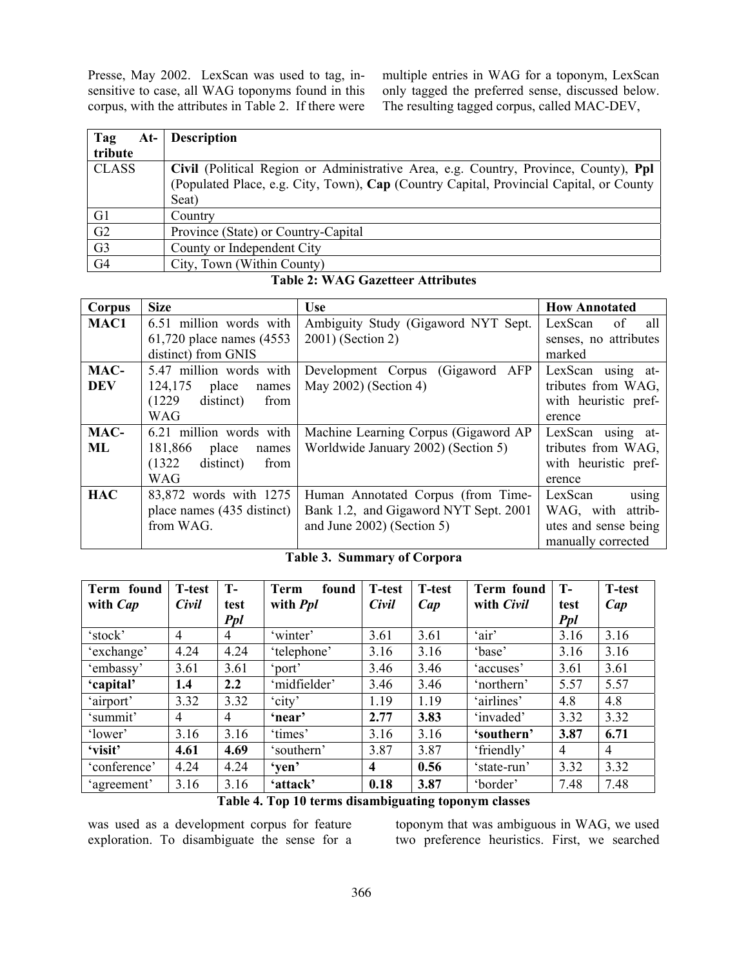Presse, May 2002. LexScan was used to tag, insensitive to case, all WAG toponyms found in this corpus, with the attributes in Table 2. If there were

multiple entries in WAG for a toponym, LexScan only tagged the preferred sense, discussed below. The resulting tagged corpus, called MAC-DEV,

| Tag<br>$At-$   | <b>Description</b>                                                                      |
|----------------|-----------------------------------------------------------------------------------------|
| tribute        |                                                                                         |
| <b>CLASS</b>   | Civil (Political Region or Administrative Area, e.g. Country, Province, County), Ppl    |
|                | (Populated Place, e.g. City, Town), Cap (Country Capital, Provincial Capital, or County |
|                | Seat)                                                                                   |
| G1             | Country                                                                                 |
| G2             | Province (State) or Country-Capital                                                     |
| G <sub>3</sub> | County or Independent City                                                              |
| G <sub>4</sub> | City, Town (Within County)                                                              |

### **Table 2: WAG Gazetteer Attributes**

| Corpus     | <b>Size</b>                 | <b>Use</b>                            | <b>How Annotated</b>  |
|------------|-----------------------------|---------------------------------------|-----------------------|
| MAC1       | 6.51 million words with     | Ambiguity Study (Gigaword NYT Sept.   | of<br>all<br>LexScan  |
|            | 61,720 place names (4553)   | 2001) (Section 2)                     | senses, no attributes |
|            | distinct) from GNIS         |                                       | marked                |
| MAC-       | 5.47 million words with     | Development Corpus (Gigaword AFP      | LexScan using at-     |
| <b>DEV</b> | 124,175<br>place<br>names   | May $2002$ ) (Section 4)              | tributes from WAG,    |
|            | (1229)<br>distinct)<br>from |                                       | with heuristic pref-  |
|            | WAG                         |                                       | erence                |
| MAC-       | 6.21 million words with     | Machine Learning Corpus (Gigaword AP  | LexScan using at-     |
| ML         | 181,866<br>place<br>names   | Worldwide January 2002) (Section 5)   | tributes from WAG,    |
|            | (1322)<br>distinct)<br>from |                                       | with heuristic pref-  |
|            | WAG                         |                                       | erence                |
| <b>HAC</b> | 83,872 words with 1275      | Human Annotated Corpus (from Time-    | LexScan<br>using      |
|            | place names (435 distinct)  | Bank 1.2, and Gigaword NYT Sept. 2001 | WAG, with<br>attrib-  |
|            | from WAG.                   | and June $2002$ ) (Section 5)         | utes and sense being  |
|            |                             |                                       | manually corrected    |

# **Table 3. Summary of Corpora**

| Term found   | <b>T-test</b>  | $T-$       | <b>Term</b><br>found | <b>T-test</b>    | <b>T-test</b> | <b>Term found</b> | Т-         | <b>T-test</b>  |
|--------------|----------------|------------|----------------------|------------------|---------------|-------------------|------------|----------------|
| with Cap     | Civil          | test       | with <i>Ppl</i>      | Civil            | Cap           | with Civil        | test       | Cap            |
|              |                | <b>Ppl</b> |                      |                  |               |                   | <b>Ppl</b> |                |
| 'stock'      | $\overline{4}$ | 4          | 'winter'             | 3.61             | 3.61          | 'air'             | 3.16       | 3.16           |
| 'exchange'   | 4.24           | 4.24       | 'telephone'          | 3.16             | 3.16          | 'base'            | 3.16       | 3.16           |
| 'embassy'    | 3.61           | 3.61       | 'port'               | 3.46             | 3.46          | 'accuses'         | 3.61       | 3.61           |
| 'capital'    | 1.4            | 2.2        | 'midfielder'         | 3.46             | 3.46          | 'northern'        | 5.57       | 5.57           |
| 'airport'    | 3.32           | 3.32       | 'city'               | 1.19             | 1.19          | 'airlines'        | 4.8        | 4.8            |
| 'summit'     | $\overline{4}$ | 4          | 'near'               | 2.77             | 3.83          | 'invaded'         | 3.32       | 3.32           |
| 'lower'      | 3.16           | 3.16       | 'times'              | 3.16             | 3.16          | 'southern'        | 3.87       | 6.71           |
| 'visit'      | 4.61           | 4.69       | 'southern'           | 3.87             | 3.87          | 'friendly'        | 4          | $\overline{4}$ |
| 'conference' | 4.24           | 4.24       | 'yen'                | $\boldsymbol{4}$ | 0.56          | 'state-run'       | 3.32       | 3.32           |
| 'agreement'  | 3.16           | 3.16       | 'attack'             | 0.18             | 3.87          | 'border'          | 7.48       | 7.48           |

# **Table 4. Top 10 terms disambiguating toponym classes**

was used as a development corpus for feature exploration. To disambiguate the sense for a

toponym that was ambiguous in WAG, we used two preference heuristics. First, we searched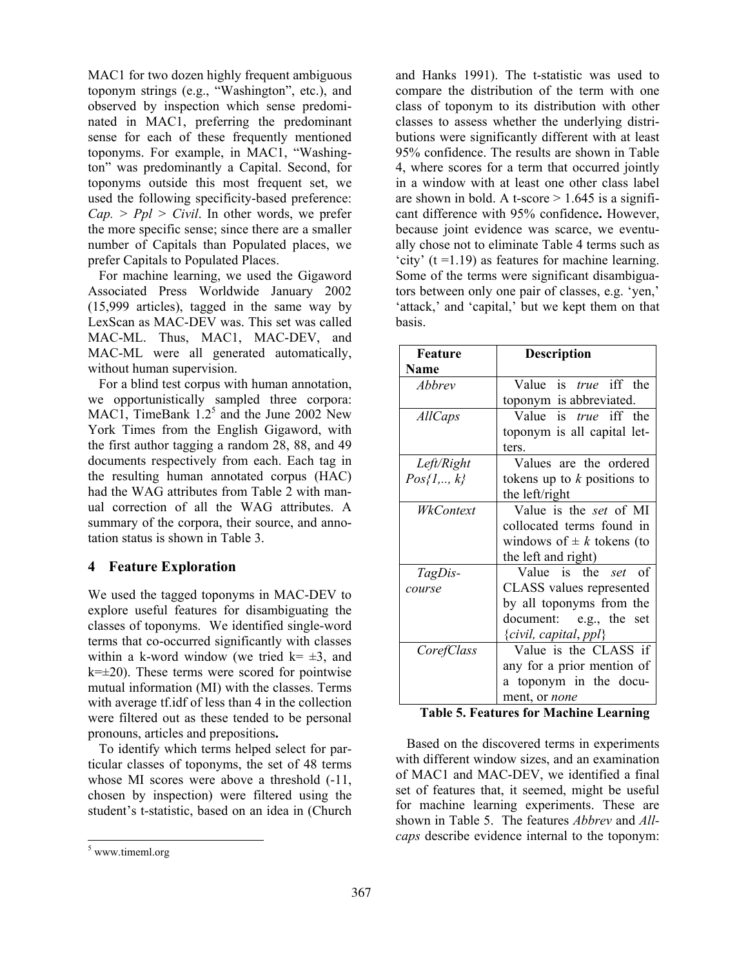MAC1 for two dozen highly frequent ambiguous toponym strings (e.g., "Washington", etc.), and observed by inspection which sense predominated in MAC1, preferring the predominant sense for each of these frequently mentioned toponyms. For example, in MAC1, "Washington" was predominantly a Capital. Second, for toponyms outside this most frequent set, we used the following specificity-based preference: *Cap. > Ppl > Civil*. In other words, we prefer the more specific sense; since there are a smaller number of Capitals than Populated places, we prefer Capitals to Populated Places.

For machine learning, we used the Gigaword Associated Press Worldwide January 2002 (15,999 articles), tagged in the same way by LexScan as MAC-DEV was. This set was called MAC-ML. Thus, MAC1, MAC-DEV, and MAC-ML were all generated automatically, without human supervision.

For a blind test corpus with human annotation, we opportunistically sampled three corpora: MAC1, TimeBank  $1.2<sup>5</sup>$  and the June 2002 New York Times from the English Gigaword, with the first author tagging a random 28, 88, and 49 documents respectively from each. Each tag in the resulting human annotated corpus (HAC) had the WAG attributes from Table 2 with manual correction of all the WAG attributes. A summary of the corpora, their source, and annotation status is shown in Table 3.

### **4 Feature Exploration**

We used the tagged toponyms in MAC-DEV to explore useful features for disambiguating the classes of toponyms. We identified single-word terms that co-occurred significantly with classes within a k-word window (we tried  $k = \pm 3$ , and  $k=\pm 20$ ). These terms were scored for pointwise mutual information (MI) with the classes. Terms with average tf.idf of less than 4 in the collection were filtered out as these tended to be personal pronouns, articles and prepositions**.** 

To identify which terms helped select for particular classes of toponyms, the set of 48 terms whose MI scores were above a threshold  $(-11)$ , chosen by inspection) were filtered using the student's t-statistic, based on an idea in (Church

 $\overline{a}$ 

and Hanks 1991). The t-statistic was used to compare the distribution of the term with one class of toponym to its distribution with other classes to assess whether the underlying distributions were significantly different with at least 95% confidence. The results are shown in Table 4, where scores for a term that occurred jointly in a window with at least one other class label are shown in bold. A t-score  $> 1.645$  is a significant difference with 95% confidence**.** However, because joint evidence was scarce, we eventually chose not to eliminate Table 4 terms such as 'city' (t =1.19) as features for machine learning. Some of the terms were significant disambiguators between only one pair of classes, e.g. 'yen,' 'attack,' and 'capital,' but we kept them on that basis.

| <b>Feature</b>        | <b>Description</b>            |  |  |  |
|-----------------------|-------------------------------|--|--|--|
| Name                  |                               |  |  |  |
| Abbrev                | Value is <i>true</i> iff the  |  |  |  |
|                       | toponym is abbreviated.       |  |  |  |
| <i>AllCaps</i>        | Value is <i>true</i> iff the  |  |  |  |
|                       | toponym is all capital let-   |  |  |  |
|                       | ters.                         |  |  |  |
| Left/Right            | Values are the ordered        |  |  |  |
| $Pos\{1, \ldots, k\}$ | tokens up to $k$ positions to |  |  |  |
|                       | the left/right                |  |  |  |
| WkContext             | Value is the <i>set</i> of MI |  |  |  |
|                       | collocated terms found in     |  |  |  |
|                       | windows of $\pm k$ tokens (to |  |  |  |
|                       | the left and right)           |  |  |  |
| TagDis-               | Value is the set of           |  |  |  |
| course                | CLASS values represented      |  |  |  |
|                       | by all toponyms from the      |  |  |  |
|                       | document: e.g., the set       |  |  |  |
|                       | {civil, capital, $ppl$ }      |  |  |  |
| CorefClass            | Value is the CLASS if         |  |  |  |
|                       | any for a prior mention of    |  |  |  |
|                       | a toponym in the docu-        |  |  |  |
|                       | ment, or none                 |  |  |  |

**Table 5. Features for Machine Learning**

Based on the discovered terms in experiments with different window sizes, and an examination of MAC1 and MAC-DEV, we identified a final set of features that, it seemed, might be useful for machine learning experiments. These are shown in Table 5. The features *Abbrev* and *Allcaps* describe evidence internal to the toponym:

<sup>&</sup>lt;sup>5</sup> www.timeml.org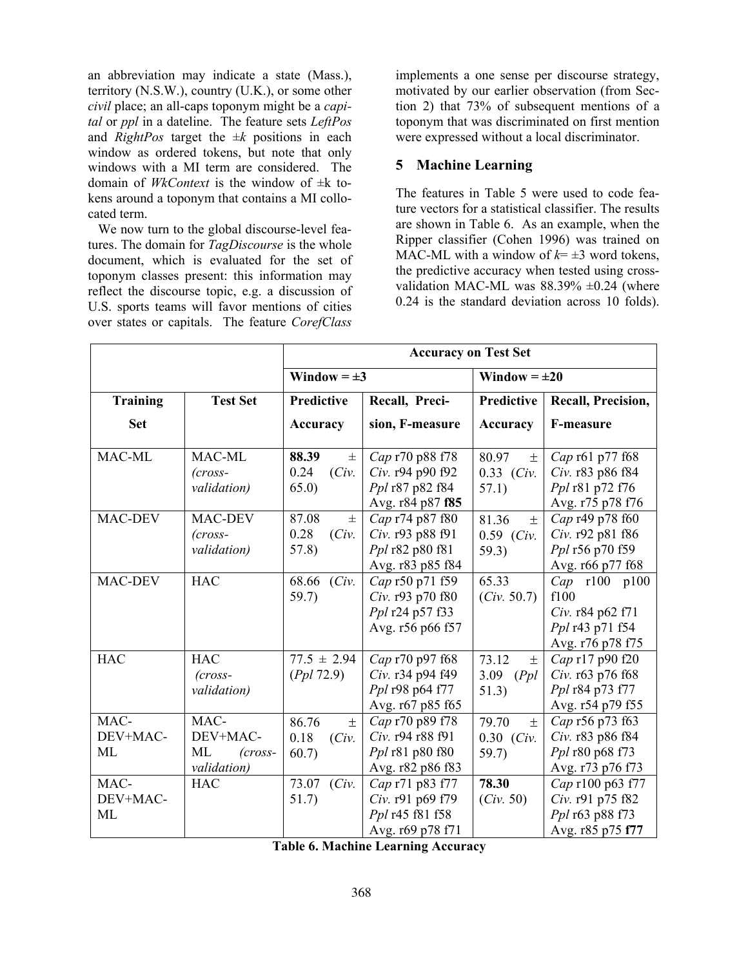an abbreviation may indicate a state (Mass.), territory (N.S.W.), country (U.K.), or some other *civil* place; an all-caps toponym might be a *capital* or *ppl* in a dateline. The feature sets *LeftPos* and *RightPos* target the  $\pm k$  positions in each window as ordered tokens, but note that only windows with a MI term are considered. The domain of *WkContext* is the window of  $\pm k$  tokens around a toponym that contains a MI collocated term.

 We now turn to the global discourse-level features. The domain for *TagDiscourse* is the whole document, which is evaluated for the set of toponym classes present: this information may reflect the discourse topic, e.g. a discussion of U.S. sports teams will favor mentions of cities over states or capitals. The feature *CorefClass*

implements a one sense per discourse strategy, motivated by our earlier observation (from Section 2) that 73% of subsequent mentions of a toponym that was discriminated on first mention were expressed without a local discriminator.

## **5 Machine Learning**

The features in Table 5 were used to code feature vectors for a statistical classifier. The results are shown in Table 6. As an example, when the Ripper classifier (Cohen 1996) was trained on MAC-ML with a window of  $k = \pm 3$  word tokens, the predictive accuracy when tested using crossvalidation MAC-ML was  $88.39\% \pm 0.24$  (where 0.24 is the standard deviation across 10 folds).

|                          |                                                    | <b>Accuracy on Test Set</b>              |                                                                            |                                                 |                                                                                        |  |
|--------------------------|----------------------------------------------------|------------------------------------------|----------------------------------------------------------------------------|-------------------------------------------------|----------------------------------------------------------------------------------------|--|
|                          |                                                    | Window = $\pm 3$                         |                                                                            | Window = $\pm 20$                               |                                                                                        |  |
| <b>Training</b>          | <b>Predictive</b><br><b>Test Set</b>               |                                          | Recall, Preci-                                                             | Predictive                                      | Recall, Precision,                                                                     |  |
| <b>Set</b>               |                                                    | <b>Accuracy</b>                          | sion, F-measure                                                            | Accuracy                                        | F-measure                                                                              |  |
| MAC-ML                   | MAC-ML<br>$(cross-$<br>validation)                 | 88.39<br>$\pm$<br>0.24<br>(Civ.<br>65.0  | Cap r70 p88 f78<br>Civ. r94 p90 f92<br>Ppl r87 p82 f84<br>Avg. r84 p87 f85 | 80.97<br>$\pm$<br>$0.33$ (Civ.<br>57.1)         | Cap r61 p77 f68<br>Civ. r83 p86 f84<br>Ppl r81 p72 f76<br>Avg. r75 p78 f76             |  |
| MAC-DEV                  | MAC-DEV<br>$(cross-$<br>validation)                | 87.08<br>$\pm$<br>0.28<br>(Civ.<br>57.8) | Cap r74 p87 f80<br>Civ. r93 p88 f91<br>Ppl r82 p80 f81<br>Avg. r83 p85 f84 | 81.36<br>$\pm$<br>$0.59$ (Civ.<br>59.3)         | Cap r49 p78 f60<br>Civ. r92 p81 f86<br>Ppl r56 p70 f59<br>Avg. r66 p77 f68             |  |
| MAC-DEV                  | <b>HAC</b>                                         | 68.66<br>(Civ.<br>59.7)                  | Cap r50 p71 f59<br>Civ. r93 p70 f80<br>Ppl r24 p57 f33<br>Avg. r56 p66 f57 | 65.33<br>(Civ. 50.7)                            | $Cap$ $r100$ $p100$<br>f100<br>Civ. r84 p62 f71<br>Ppl r43 p71 f54<br>Avg. r76 p78 f75 |  |
| <b>HAC</b>               | <b>HAC</b><br>$(cross-$<br>validation)             | $77.5 \pm 2.94$<br>(Ppl 72.9)            | Cap r70 p97 f68<br>Civ. r34 p94 f49<br>Ppl r98 p64 f77<br>Avg. r67 p85 f65 | 73.12<br>$\pm$<br>3.09 $(Ppl)$<br>51.3)         | Cap r17 p90 f20<br>Civ. r63 p76 f68<br>Ppl r84 p73 f77<br>Avg. r54 p79 f55             |  |
| $MAC-$<br>DEV+MAC-<br>ML | MAC-<br>DEV+MAC-<br>ML<br>$(cross-$<br>validation) | 86.76<br>$\pm$<br>0.18<br>(Civ.<br>60.7) | Cap r70 p89 f78<br>Civ. r94 r88 f91<br>Ppl r81 p80 f80<br>Avg. r82 p86 f83 | 79.70<br>$\pm$<br>$0.30$ ( <i>Civ.</i><br>59.7) | Cap r56 p73 f63<br>Civ. r83 p86 f84<br>Ppl r80 p68 f73<br>Avg. r73 p76 f73             |  |
| MAC-<br>DEV+MAC-<br>ML   | <b>HAC</b>                                         | 73.07<br>(Civ)<br>51.7)                  | Cap r71 p83 f77<br>Civ. r91 p69 f79<br>Ppl r45 f81 f58<br>Avg. r69 p78 f71 | 78.30<br>(Civ. 50)                              | Cap r100 p63 f77<br>Civ. r91 p75 f82<br>Ppl r63 p88 f73<br>Avg. r85 p75 f77            |  |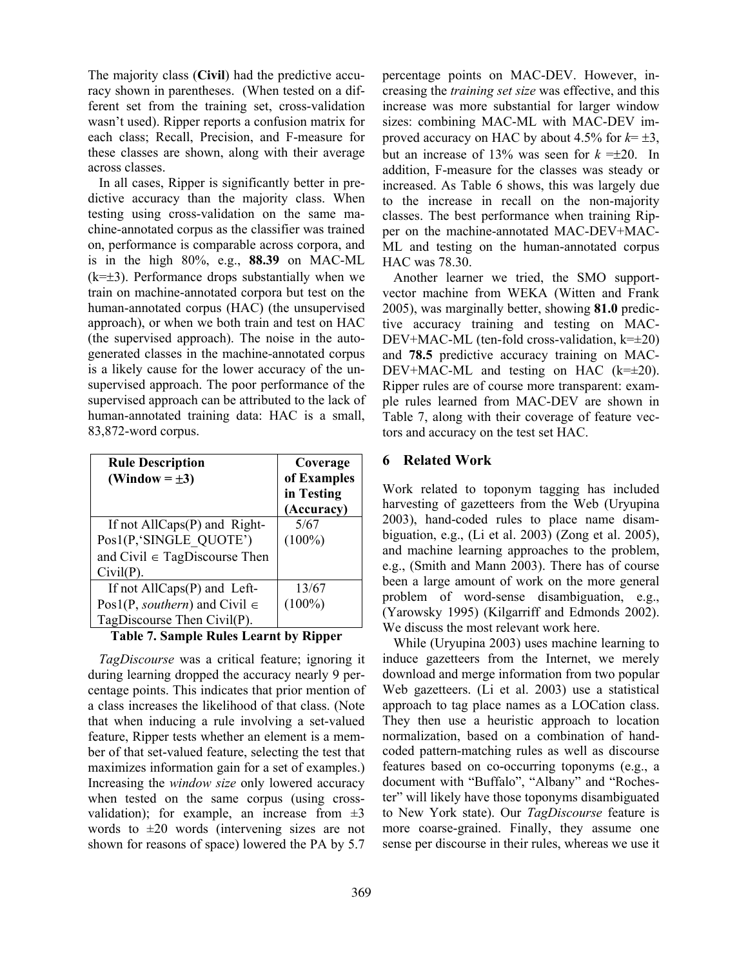The majority class (**Civil**) had the predictive accuracy shown in parentheses. (When tested on a different set from the training set, cross-validation wasn't used). Ripper reports a confusion matrix for each class; Recall, Precision, and F-measure for these classes are shown, along with their average across classes.

In all cases, Ripper is significantly better in predictive accuracy than the majority class. When testing using cross-validation on the same machine-annotated corpus as the classifier was trained on, performance is comparable across corpora, and is in the high 80%, e.g., **88.39** on MAC-ML  $(k=\pm 3)$ . Performance drops substantially when we train on machine-annotated corpora but test on the human-annotated corpus (HAC) (the unsupervised approach), or when we both train and test on HAC (the supervised approach). The noise in the autogenerated classes in the machine-annotated corpus is a likely cause for the lower accuracy of the unsupervised approach. The poor performance of the supervised approach can be attributed to the lack of human-annotated training data: HAC is a small, 83,872-word corpus.

| <b>Rule Description</b>           | Coverage    |
|-----------------------------------|-------------|
| (Window = $\pm 3$ )               | of Examples |
|                                   | in Testing  |
|                                   | (Accuracy)  |
| If not AllCaps(P) and Right-      | 5/67        |
| Pos1(P,'SINGLE QUOTE')            | $(100\%)$   |
| and Civil $\in$ TagDiscourse Then |             |
| $Civil(P)$ .                      |             |
| If not AllCaps $(P)$ and Left-    | 13/67       |
| Pos1(P, southern) and Civil $\in$ | $(100\%)$   |
| TagDiscourse Then Civil(P).       |             |

#### **Table 7. Sample Rules Learnt by Ripper**

*TagDiscourse* was a critical feature; ignoring it during learning dropped the accuracy nearly 9 percentage points. This indicates that prior mention of a class increases the likelihood of that class. (Note that when inducing a rule involving a set-valued feature, Ripper tests whether an element is a member of that set-valued feature, selecting the test that maximizes information gain for a set of examples.) Increasing the *window size* only lowered accuracy when tested on the same corpus (using crossvalidation); for example, an increase from  $\pm 3$ words to  $\pm 20$  words (intervening sizes are not shown for reasons of space) lowered the PA by 5.7

percentage points on MAC-DEV. However, increasing the *training set size* was effective, and this increase was more substantial for larger window sizes: combining MAC-ML with MAC-DEV improved accuracy on HAC by about 4.5% for  $k = \pm 3$ , but an increase of 13% was seen for  $k = \pm 20$ . In addition, F-measure for the classes was steady or increased. As Table 6 shows, this was largely due to the increase in recall on the non-majority classes. The best performance when training Ripper on the machine-annotated MAC-DEV+MAC-ML and testing on the human-annotated corpus HAC was 78.30.

Another learner we tried, the SMO supportvector machine from WEKA (Witten and Frank 2005), was marginally better, showing **81.0** predictive accuracy training and testing on MAC-DEV+MAC-ML (ten-fold cross-validation,  $k=\pm 20$ ) and **78.5** predictive accuracy training on MAC-DEV+MAC-ML and testing on HAC  $(k=\pm 20)$ . Ripper rules are of course more transparent: example rules learned from MAC-DEV are shown in Table 7, along with their coverage of feature vectors and accuracy on the test set HAC.

#### **6 Related Work**

Work related to toponym tagging has included harvesting of gazetteers from the Web (Uryupina 2003), hand-coded rules to place name disambiguation, e.g., (Li et al. 2003) (Zong et al. 2005), and machine learning approaches to the problem, e.g., (Smith and Mann 2003). There has of course been a large amount of work on the more general problem of word-sense disambiguation, e.g., (Yarowsky 1995) (Kilgarriff and Edmonds 2002). We discuss the most relevant work here.

While (Uryupina 2003) uses machine learning to induce gazetteers from the Internet, we merely download and merge information from two popular Web gazetteers. (Li et al. 2003) use a statistical approach to tag place names as a LOCation class. They then use a heuristic approach to location normalization, based on a combination of handcoded pattern-matching rules as well as discourse features based on co-occurring toponyms (e.g., a document with "Buffalo", "Albany" and "Rochester" will likely have those toponyms disambiguated to New York state). Our *TagDiscourse* feature is more coarse-grained. Finally, they assume one sense per discourse in their rules, whereas we use it